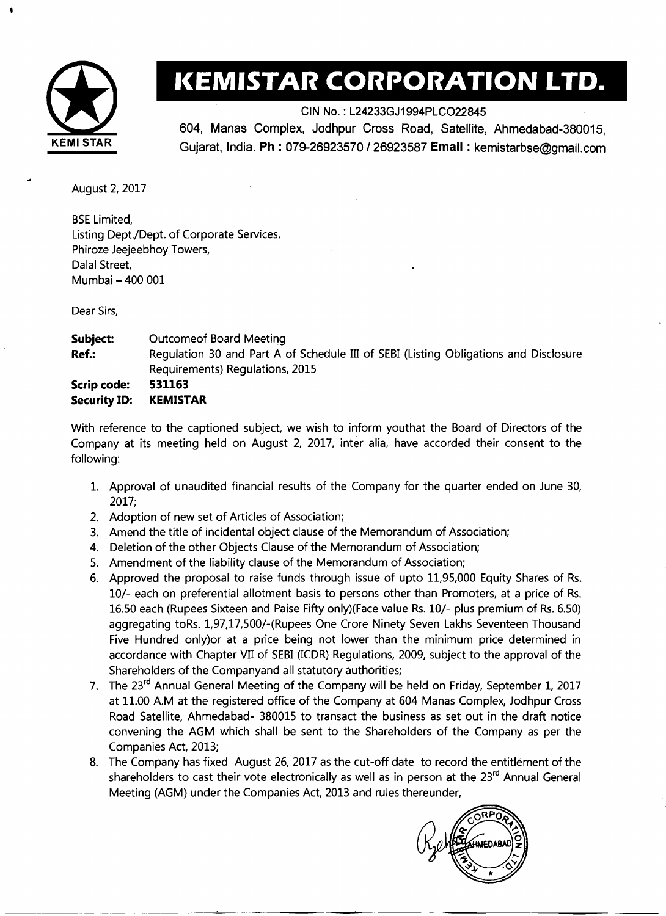

## **KEMISTAR CORPORATION LTD.**

CIN No. : L24233GJ1994PLC022845

604, Manas Complex, Jodhpur Cross Road, Satellite, Ahmedabad-380015, **KEMl STAR** Gujarat, India. **Ph** : 079-26923570 126923587 **Email** : kemistarbse@gmail.com

August 2,2017

BSE Limited, Listing Dept./Dept. of Corporate Services, Phiroze Jeejeebhoy Towers, Dalal Street, Mumbai - 400 001

Dear Sirs,

**Subject:** Outcomeof Board Meeting **Ref.:** Regulation 30 and Part A of Schedule III of SEBI (Listing Obligations and Disclosure Requirements) Regulations, 2015 **Scrip code: 531163 Security ID: KEMISTAR** 

With reference to the captioned subject, we wish to inform youthat the Board of Directors of the Company at its meeting held on August 2, 2017, inter alia, have accorded their consent to the following:

- 1. Approval of unaudited financial results of the Company for the quarter ended on June 30, 2017;
- 2. Adoption of new set of Articles of Association;
- 3. Amend the title of incidental object clause of the Memorandum of Association;
- 4. Deletion of the other Objects Clause of the Memorandum of Association;
- 5. Amendment of the liability clause of the Memorandum of Association;
- 6. Approved the proposal to raise funds through issue of upto 11,95,000 Equity Shares of Rs. lo/- each on preferential allotment basis to persons other than Promoters, at a price of Rs. 16.50 each (Rupees Sixteen and Paise Fifty only)(Face value Rs. lo/- plus premium of Rs. 6.50) aggregating toRs. 1,97,17,500/-(Rupees One Crore Ninety Seven Lakhs Seventeen Thousand Five Hundred only)or at a price being not lower than the minimum price determined in accordance with Chapter VII of SEBI (ICDR) Regulations, 2009, subject to the approval of the Shareholders of the Companyand all statutory authorities;
- 7. The 23<sup>rd</sup> Annual General Meeting of the Company will be held on Friday, September 1, 2017 at 11.00 A.M at the registered office of the Company at 604 Manas Complex, Jodhpur Cross Road Satellite, Ahmedabad- 380015 to transact the business as set out in the draft notice convening the AGM which shall be sent to the Shareholders of the Company as per the Companies Act, 2013;
- 8. The Company has fixed August 26, 2017 as the cut-off date to record the entitlement of the shareholders to cast their vote electronically as well as in person at the 23<sup>rd</sup> Annual General Meeting (AGM) under the Companies Act, 2013 and rules thereunder,